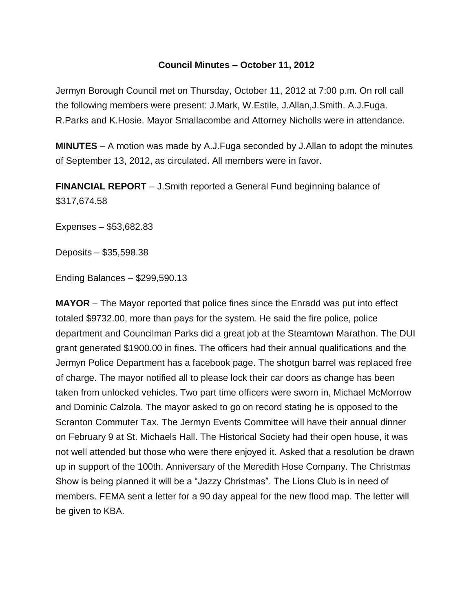## **Council Minutes – October 11, 2012**

Jermyn Borough Council met on Thursday, October 11, 2012 at 7:00 p.m. On roll call the following members were present: J.Mark, W.Estile, J.Allan,J.Smith. A.J.Fuga. R.Parks and K.Hosie. Mayor Smallacombe and Attorney Nicholls were in attendance.

**MINUTES** – A motion was made by A.J.Fuga seconded by J.Allan to adopt the minutes of September 13, 2012, as circulated. All members were in favor.

**FINANCIAL REPORT** – J.Smith reported a General Fund beginning balance of \$317,674.58

Expenses – \$53,682.83

Deposits – \$35,598.38

Ending Balances – \$299,590.13

**MAYOR** – The Mayor reported that police fines since the Enradd was put into effect totaled \$9732.00, more than pays for the system. He said the fire police, police department and Councilman Parks did a great job at the Steamtown Marathon. The DUI grant generated \$1900.00 in fines. The officers had their annual qualifications and the Jermyn Police Department has a facebook page. The shotgun barrel was replaced free of charge. The mayor notified all to please lock their car doors as change has been taken from unlocked vehicles. Two part time officers were sworn in, Michael McMorrow and Dominic Calzola. The mayor asked to go on record stating he is opposed to the Scranton Commuter Tax. The Jermyn Events Committee will have their annual dinner on February 9 at St. Michaels Hall. The Historical Society had their open house, it was not well attended but those who were there enjoyed it. Asked that a resolution be drawn up in support of the 100th. Anniversary of the Meredith Hose Company. The Christmas Show is being planned it will be a "Jazzy Christmas". The Lions Club is in need of members. FEMA sent a letter for a 90 day appeal for the new flood map. The letter will be given to KBA.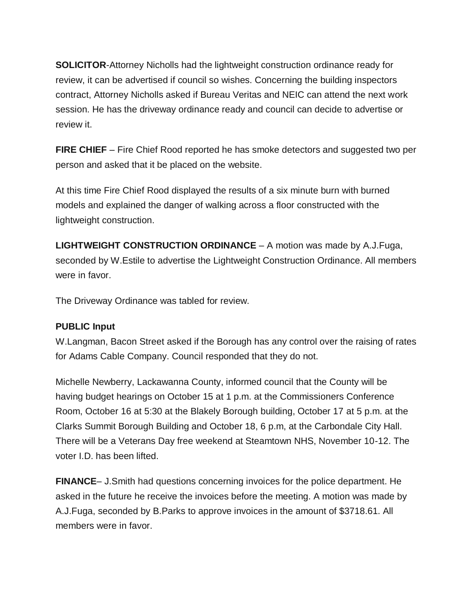**SOLICITOR**-Attorney Nicholls had the lightweight construction ordinance ready for review, it can be advertised if council so wishes. Concerning the building inspectors contract, Attorney Nicholls asked if Bureau Veritas and NEIC can attend the next work session. He has the driveway ordinance ready and council can decide to advertise or review it.

**FIRE CHIEF** – Fire Chief Rood reported he has smoke detectors and suggested two per person and asked that it be placed on the website.

At this time Fire Chief Rood displayed the results of a six minute burn with burned models and explained the danger of walking across a floor constructed with the lightweight construction.

**LIGHTWEIGHT CONSTRUCTION ORDINANCE** – A motion was made by A.J.Fuga, seconded by W.Estile to advertise the Lightweight Construction Ordinance. All members were in favor.

The Driveway Ordinance was tabled for review.

## **PUBLIC Input**

W.Langman, Bacon Street asked if the Borough has any control over the raising of rates for Adams Cable Company. Council responded that they do not.

Michelle Newberry, Lackawanna County, informed council that the County will be having budget hearings on October 15 at 1 p.m. at the Commissioners Conference Room, October 16 at 5:30 at the Blakely Borough building, October 17 at 5 p.m. at the Clarks Summit Borough Building and October 18, 6 p.m, at the Carbondale City Hall. There will be a Veterans Day free weekend at Steamtown NHS, November 10-12. The voter I.D. has been lifted.

**FINANCE**– J.Smith had questions concerning invoices for the police department. He asked in the future he receive the invoices before the meeting. A motion was made by A.J.Fuga, seconded by B.Parks to approve invoices in the amount of \$3718.61. All members were in favor.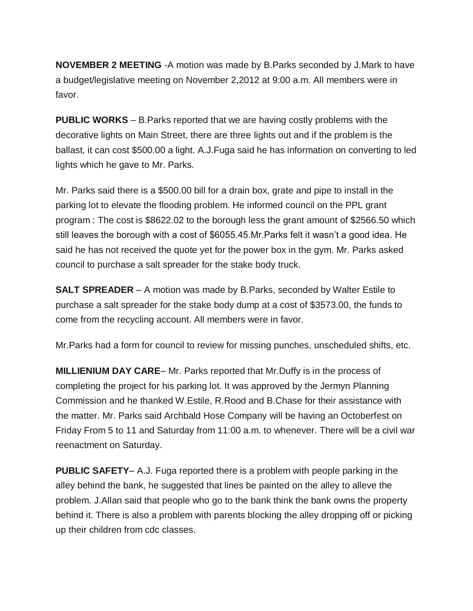**NOVEMBER 2 MEETING** -A motion was made by B.Parks seconded by J.Mark to have a budget/legislative meeting on November 2,2012 at 9:00 a.m. All members were in favor.

**PUBLIC WORKS** – B.Parks reported that we are having costly problems with the decorative lights on Main Street, there are three lights out and if the problem is the ballast, it can cost \$500.00 a light. A.J.Fuga said he has information on converting to led lights which he gave to Mr. Parks.

Mr. Parks said there is a \$500.00 bill for a drain box, grate and pipe to install in the parking lot to elevate the flooding problem. He informed council on the PPL grant program : The cost is \$8622.02 to the borough less the grant amount of \$2566.50 which still leaves the borough with a cost of \$6055.45.Mr.Parks felt it wasn't a good idea. He said he has not received the quote yet for the power box in the gym. Mr. Parks asked council to purchase a salt spreader for the stake body truck.

**SALT SPREADER** – A motion was made by B.Parks, seconded by Walter Estile to purchase a salt spreader for the stake body dump at a cost of \$3573.00, the funds to come from the recycling account. All members were in favor.

Mr.Parks had a form for council to review for missing punches, unscheduled shifts, etc.

**MILLIENIUM DAY CARE**– Mr. Parks reported that Mr.Duffy is in the process of completing the project for his parking lot. It was approved by the Jermyn Planning Commission and he thanked W.Estile, R.Rood and B.Chase for their assistance with the matter. Mr. Parks said Archbald Hose Company will be having an Octoberfest on Friday From 5 to 11 and Saturday from 11:00 a.m. to whenever. There will be a civil war reenactment on Saturday.

**PUBLIC SAFETY**– A.J. Fuga reported there is a problem with people parking in the alley behind the bank, he suggested that lines be painted on the alley to alleve the problem. J.Allan said that people who go to the bank think the bank owns the property behind it. There is also a problem with parents blocking the alley dropping off or picking up their children from cdc classes.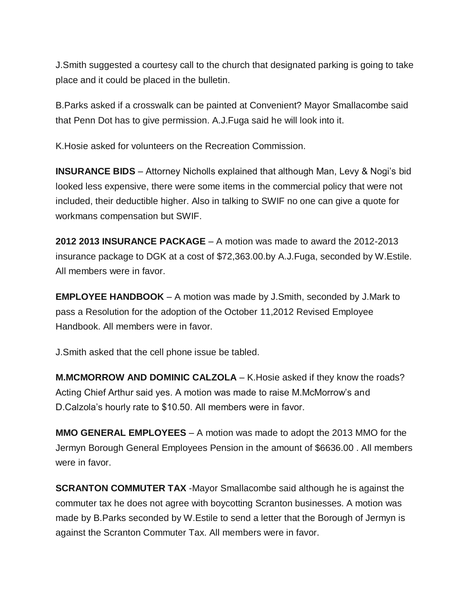J.Smith suggested a courtesy call to the church that designated parking is going to take place and it could be placed in the bulletin.

B.Parks asked if a crosswalk can be painted at Convenient? Mayor Smallacombe said that Penn Dot has to give permission. A.J.Fuga said he will look into it.

K.Hosie asked for volunteers on the Recreation Commission.

**INSURANCE BIDS** – Attorney Nicholls explained that although Man, Levy & Nogi's bid looked less expensive, there were some items in the commercial policy that were not included, their deductible higher. Also in talking to SWIF no one can give a quote for workmans compensation but SWIF.

**2012 2013 INSURANCE PACKAGE** – A motion was made to award the 2012-2013 insurance package to DGK at a cost of \$72,363.00.by A.J.Fuga, seconded by W.Estile. All members were in favor.

**EMPLOYEE HANDBOOK** – A motion was made by J.Smith, seconded by J.Mark to pass a Resolution for the adoption of the October 11,2012 Revised Employee Handbook. All members were in favor.

J.Smith asked that the cell phone issue be tabled.

**M.MCMORROW AND DOMINIC CALZOLA** – K.Hosie asked if they know the roads? Acting Chief Arthur said yes. A motion was made to raise M.McMorrow's and D.Calzola's hourly rate to \$10.50. All members were in favor.

**MMO GENERAL EMPLOYEES** – A motion was made to adopt the 2013 MMO for the Jermyn Borough General Employees Pension in the amount of \$6636.00 . All members were in favor.

**SCRANTON COMMUTER TAX** -Mayor Smallacombe said although he is against the commuter tax he does not agree with boycotting Scranton businesses. A motion was made by B.Parks seconded by W.Estile to send a letter that the Borough of Jermyn is against the Scranton Commuter Tax. All members were in favor.